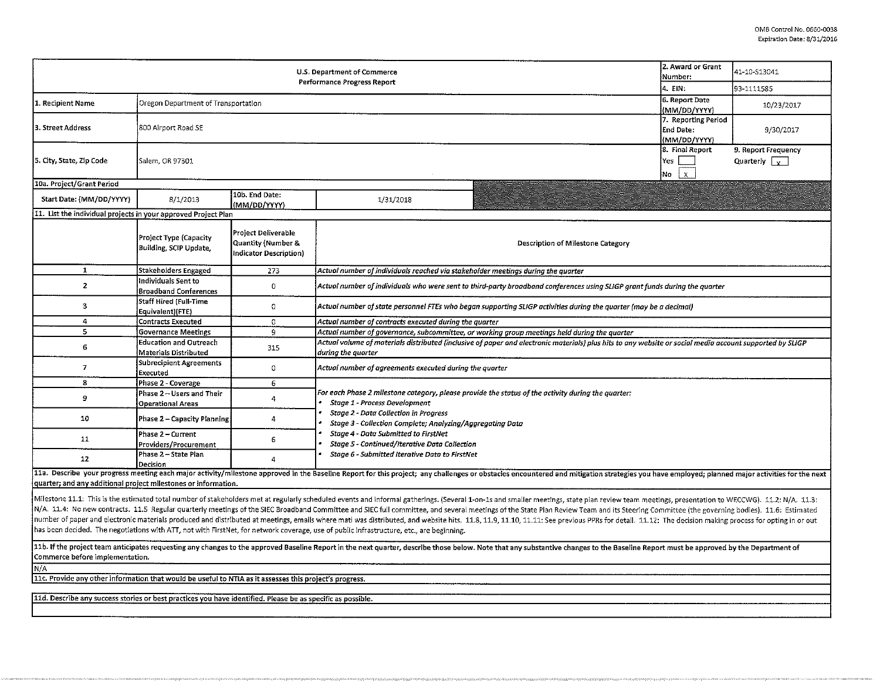|                                                                                                                                                                                                                                                                                                                                                                            | 2. Award or Grant<br>Number:                           | 41-10-S13041                                                                                             |                                                                                                                                                                                                                                                  |                                                        |  |  |  |  |  |  |  |
|----------------------------------------------------------------------------------------------------------------------------------------------------------------------------------------------------------------------------------------------------------------------------------------------------------------------------------------------------------------------------|--------------------------------------------------------|----------------------------------------------------------------------------------------------------------|--------------------------------------------------------------------------------------------------------------------------------------------------------------------------------------------------------------------------------------------------|--------------------------------------------------------|--|--|--|--|--|--|--|
|                                                                                                                                                                                                                                                                                                                                                                            | 4. EIN:                                                | 93-1111.585                                                                                              |                                                                                                                                                                                                                                                  |                                                        |  |  |  |  |  |  |  |
| 1. Recipient Name                                                                                                                                                                                                                                                                                                                                                          | Oregon Department of Transportation                    |                                                                                                          | 6. Report Date<br>MM/DD/YYYY)                                                                                                                                                                                                                    | 10/23/2017                                             |  |  |  |  |  |  |  |
| 3. Street Address                                                                                                                                                                                                                                                                                                                                                          | 800 Airport Road SE                                    |                                                                                                          | 7. Reporting Period<br>End Date:<br>(MM/DD/YYYY)                                                                                                                                                                                                 | 9/30/2017                                              |  |  |  |  |  |  |  |
| 5. City, State, Zip Code                                                                                                                                                                                                                                                                                                                                                   | Salem, OR 97301                                        |                                                                                                          | 8. Final Report<br>Yes<br>No<br>$\mathsf X$                                                                                                                                                                                                      | 9. Report Frequency<br>Quarterly $\boxed{\phantom{a}}$ |  |  |  |  |  |  |  |
| 10a. Project/Grant Period                                                                                                                                                                                                                                                                                                                                                  |                                                        |                                                                                                          |                                                                                                                                                                                                                                                  |                                                        |  |  |  |  |  |  |  |
| Start Date: (MM/DD/YYYY)                                                                                                                                                                                                                                                                                                                                                   | 8/1/2013                                               | 10b. End Date:<br>(MM/DD/YYYY)                                                                           | 1/31/2018                                                                                                                                                                                                                                        |                                                        |  |  |  |  |  |  |  |
| 11. List the individual projects in your approved Project Plan                                                                                                                                                                                                                                                                                                             |                                                        |                                                                                                          |                                                                                                                                                                                                                                                  |                                                        |  |  |  |  |  |  |  |
|                                                                                                                                                                                                                                                                                                                                                                            | Project Type (Capacity<br>Building, SCIP Update,       | Project Deliverable<br>Quantity (Number &<br>Indicator Description)                                      | Description of Milestone Category                                                                                                                                                                                                                |                                                        |  |  |  |  |  |  |  |
| $\mathbf 1$                                                                                                                                                                                                                                                                                                                                                                | Stakeholders Engaged                                   | 273                                                                                                      | Actual number of individuals reached via stakeholder meetings during the quarter                                                                                                                                                                 |                                                        |  |  |  |  |  |  |  |
| $\overline{2}$                                                                                                                                                                                                                                                                                                                                                             | Individuals Sent to<br><b>Broadband Conferences</b>    | $\circ$                                                                                                  | Actual number of individuals who were sent to third-party broadband conferences using SLIGP grant funds during the quarter                                                                                                                       |                                                        |  |  |  |  |  |  |  |
| $\overline{\mathbf{3}}$                                                                                                                                                                                                                                                                                                                                                    | Staff Hired (Full-Time<br>Equivalent)(FTE)             | $\circ$                                                                                                  | Actual number of state personnel FTEs who began supporting SLIGP activities during the quarter (may be a decimal)                                                                                                                                |                                                        |  |  |  |  |  |  |  |
| 4                                                                                                                                                                                                                                                                                                                                                                          | <b>Contracts Executed</b>                              | 0                                                                                                        | Actual number of contracts executed during the quarter                                                                                                                                                                                           |                                                        |  |  |  |  |  |  |  |
| 5                                                                                                                                                                                                                                                                                                                                                                          | <b>Governance Meetings</b>                             | 9                                                                                                        | Actual number of governance, subcommittee, or working group meetings held during the quarter                                                                                                                                                     |                                                        |  |  |  |  |  |  |  |
| 6                                                                                                                                                                                                                                                                                                                                                                          | <b>Education and Outreach</b><br>Materials Distributed | 315                                                                                                      | Actual volume of materials distributed (inclusive of paper and electronic materials) plus hits to any website or social media account supported by SLIGP<br>during the quarter                                                                   |                                                        |  |  |  |  |  |  |  |
| $\overline{7}$                                                                                                                                                                                                                                                                                                                                                             | Subrecipient Agreements<br>Executed                    | 0                                                                                                        | Actual number of agreements executed during the quarter                                                                                                                                                                                          |                                                        |  |  |  |  |  |  |  |
| 8                                                                                                                                                                                                                                                                                                                                                                          | Phase 2 - Coverage                                     | 6                                                                                                        |                                                                                                                                                                                                                                                  |                                                        |  |  |  |  |  |  |  |
| 9                                                                                                                                                                                                                                                                                                                                                                          | Phase 2 - Users and Their<br><b>Operational Areas</b>  | 4                                                                                                        | For each Phase 2 milestone category, please provide the status of the activity during the quarter:<br>Stage 1 - Process Development<br><b>Stage 2 - Data Collection in Progress</b><br>Stage 3 - Collection Complete; Analyzing/Aggregating Data |                                                        |  |  |  |  |  |  |  |
| 10                                                                                                                                                                                                                                                                                                                                                                         | Phase 2 - Capacity Planning                            | 4                                                                                                        |                                                                                                                                                                                                                                                  |                                                        |  |  |  |  |  |  |  |
| 11                                                                                                                                                                                                                                                                                                                                                                         | Phase 2 - Current<br>Providers/Procurement             | <b>Stage 4 - Data Submitted to FirstNet</b><br>6<br><b>Stage 5 - Continued/Iterative Data Collection</b> |                                                                                                                                                                                                                                                  |                                                        |  |  |  |  |  |  |  |
| 12                                                                                                                                                                                                                                                                                                                                                                         | Phase 2 – State Plan<br>Decision                       | 4                                                                                                        | Stage 6 - Submitted Iterative Data to FirstNet                                                                                                                                                                                                   |                                                        |  |  |  |  |  |  |  |
|                                                                                                                                                                                                                                                                                                                                                                            |                                                        |                                                                                                          | 11a. Describe your progress meeting each major activity/milestone approved in the Baseline Report for this project; any challenges or obstacles encountered and mitigation strategies you have employed; planned major activit                   |                                                        |  |  |  |  |  |  |  |
| quarter; and any additional project milestones or information.                                                                                                                                                                                                                                                                                                             |                                                        |                                                                                                          |                                                                                                                                                                                                                                                  |                                                        |  |  |  |  |  |  |  |
|                                                                                                                                                                                                                                                                                                                                                                            |                                                        |                                                                                                          | Milestone 11.1: This is the estimated total number of stakeholders met at regularly scheduled events and informal gatherings. (Several 1-on-1s and smaller meetings, state plan review team meetings, presentation to WECCWG).                   |                                                        |  |  |  |  |  |  |  |
| N/A. 11.4: No new contracts. 11.5 Regular quarterly meetings of the SIEC Broadband Committee and SIEC full committee, and several meetings of the State Plan Review Team and its Steering Committee (the governing bodies). 11                                                                                                                                             |                                                        |                                                                                                          |                                                                                                                                                                                                                                                  |                                                        |  |  |  |  |  |  |  |
| number of paper and electronic materials produced and distributed at meetings, emails where matl was distributed, and website hits. 11.8, 11.9, 11.10, 11.11: See previous PPRs for detail. 11.12: The decision making process<br>has been decided. The negotiations with ATT, not with FirstNet, for network coverage, use of public infrastructure, etc., are beginning. |                                                        |                                                                                                          |                                                                                                                                                                                                                                                  |                                                        |  |  |  |  |  |  |  |
| 11b. If the project team anticipates requesting any changes to the approved Baseline Report in the next quarter, describe those below. Note that any substantive changes to the Baseline Report must be approved by the Depart<br>Commerce before implementation.                                                                                                          |                                                        |                                                                                                          |                                                                                                                                                                                                                                                  |                                                        |  |  |  |  |  |  |  |
| N/A                                                                                                                                                                                                                                                                                                                                                                        |                                                        |                                                                                                          |                                                                                                                                                                                                                                                  |                                                        |  |  |  |  |  |  |  |
| 11c. Provide any other information that would be useful to NTIA as it assesses this project's progress.                                                                                                                                                                                                                                                                    |                                                        |                                                                                                          |                                                                                                                                                                                                                                                  |                                                        |  |  |  |  |  |  |  |
|                                                                                                                                                                                                                                                                                                                                                                            |                                                        |                                                                                                          |                                                                                                                                                                                                                                                  |                                                        |  |  |  |  |  |  |  |
| 11d. Describe any success stories or best practices you have identified. Please be as specific as possible.                                                                                                                                                                                                                                                                |                                                        |                                                                                                          |                                                                                                                                                                                                                                                  |                                                        |  |  |  |  |  |  |  |